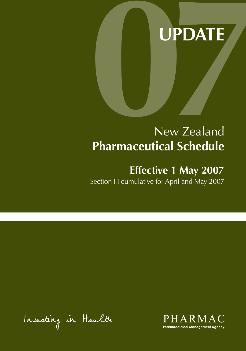# **UPDATE**

# New Zealand **Pharmaceutical Schedule**

# **Effective 1 May 2007**

Section H cumulative for April and May 2007

Insesting in Health

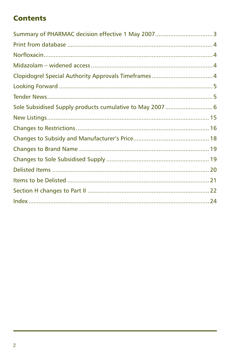### **Contents**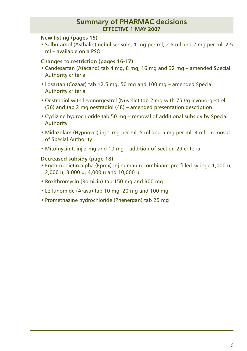#### **Summary of PHARMAC decisions effective 1 MAY 2007**

#### **New listing (pages 15)**

• Salbutamol (Asthalin) nebuliser soln, 1 mg per ml, 2.5 ml and 2 mg per ml, 2.5 ml – available on a PSO

#### **Changes to restriction (pages 16-17)**

- Candesartan (Atacand) tab 4 mg, 8 mg, 16 mg and 32 mg amended Special Authority criteria
- Losartan (Cozaar) tab 12.5 mg, 50 mg and 100 mg amended Special Authority criteria
- Oestradiol with levonorgestrel (Nuvelle) tab 2 mg with 75 ug levonorgestrel (36) and tab 2 mg oestradiol (48) – amended presentation description
- Cyclizine hydrochloride tab 50 mg removal of additional subsidy by Special Authority
- Midazolam (Hypnovel) inj 1 mg per ml, 5 ml and 5 mg per ml, 3 ml removal of Special Authority
- Mitomycin C inj 2 mg and 10 mg addition of Section 29 criteria

#### **Decreased subsidy (page 18)**

- Erythropoietin alpha (Eprex) inj human recombinant pre-filled syringe 1,000 u, 2,000 u, 3,000 u, 4,000 u and 10,000 u
- Roxithromycin (Romicin) tab 150 mg and 300 mg
- Leflunomide (Arava) tab 10 mg, 20 mg and 100 mg
- Promethazine hydrochloride (Phenergan) tab 25 mg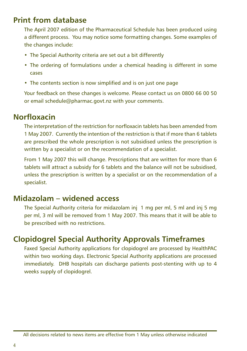### **Print from database**

The April 2007 edition of the Pharmaceutical Schedule has been produced using a different process. You may notice some formatting changes. Some examples of the changes include:

- The Special Authority criteria are set out a bit differently
- The ordering of formulations under a chemical heading is different in some cases
- The contents section is now simplified and is on just one page

Your feedback on these changes is welcome. Please contact us on 0800 66 00 50 or email schedule@pharmac.govt.nz with your comments.

### **Norfloxacin**

The interpretation of the restriction for norfloxacin tablets has been amended from 1 May 2007. Currently the intention of the restriction is that if more than 6 tablets are prescribed the whole prescription is not subsidised unless the prescription is written by a specialist or on the recommendation of a specialist.

From 1 May 2007 this will change. Prescriptions that are written for more than 6 tablets will attract a subsidy for 6 tablets and the balance will not be subsidised, unless the prescription is written by a specialist or on the recommendation of a specialist.

### **Midazolam – widened access**

The Special Authority criteria for midazolam inj 1 mg per ml, 5 ml and inj 5 mg per ml, 3 ml will be removed from 1 May 2007. This means that it will be able to be prescribed with no restrictions.

### **Clopidogrel Special Authority Approvals Timeframes**

Faxed Special Authority applications for clopidogrel are processed by HealthPAC within two working days. Electronic Special Authority applications are processed immediately. DHB hospitals can discharge patients post-stenting with up to 4 weeks supply of clopidogrel.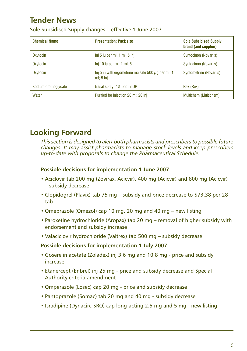### **Tender News**

| <b>Chemical Name</b> | <b>Presentation; Pack size</b>                                       | <b>Sole Subsidised Supply</b><br>brand (and supplier) |
|----------------------|----------------------------------------------------------------------|-------------------------------------------------------|
| Oxytocin             | $Inj 5$ iu per ml, 1 ml; 5 inj                                       | Syntocinon (Novartis)                                 |
| Oxytocin             | Inj 10 iu per ml, 1 ml; 5 inj                                        | <b>Syntocinon (Novartis)</b>                          |
| Oxytocin             | Inj 5 iu with ergometrine maleate 500 $\mu$ g per ml, 1<br>ml; 5 inj | Syntometrine (Novartis)                               |
| Sodium cromoglycate  | Nasal spray, 4%; 22 ml OP                                            | Rex (Rex)                                             |
| Water                | Purified for injection 20 ml; 20 inj                                 | Multichem (Multichem)                                 |

Sole Subsidised Supply changes – effective 1 June 2007

### **Looking Forward**

*This section is designed to alert both pharmacists and prescribers to possible future changes. It may assist pharmacists to manage stock levels and keep prescribers up-to-date with proposals to change the Pharmaceutical Schedule.*

#### **Possible decisions for implementation 1 June 2007**

- Aciclovir tab 200 mg (Zovirax, Acicvir), 400 mg (Acicvir) and 800 mg (Acicvir) – subsidy decrease
- Clopidogrel (Plavix) tab 75 mg subsidy and price decrease to \$73.38 per 28 tab
- Omeprazole (Omezol) cap 10 mg, 20 mg and 40 mg new listing
- Paroxetine hydrochloride (Aropax) tab 20 mg removal of higher subsidy with endorsement and subsidy increase
- Valaciclovir hydrochloride (Valtrex) tab 500 mg subsidy decrease

#### **Possible decisions for implementation 1 July 2007**

- Goserelin acetate (Zoladex) inj 3.6 mg and 10.8 mg price and subsidy increase
- Etanercept (Enbrel) inj 25 mg price and subsidy decrease and Special Authority criteria amendment
- Omperazole (Losec) cap 20 mg price and subsidy decrease
- Pantoprazole (Somac) tab 20 mg and 40 mg subsidy decrease
- Isradipine (Dynacirc-SRO) cap long-acting 2.5 mg and 5 mg new listing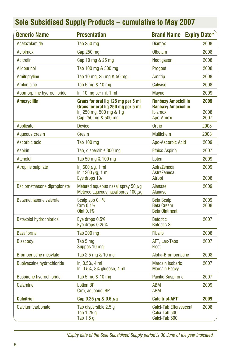| <b>Generic Name</b>              | <b>Presentation</b>                                                                                                         | <b>Brand Name Expiry Date*</b>                                                          |                      |
|----------------------------------|-----------------------------------------------------------------------------------------------------------------------------|-----------------------------------------------------------------------------------------|----------------------|
| Acetazolamide                    | Tab 250 mg                                                                                                                  | <b>Diamox</b>                                                                           | 2008                 |
| Acipimox                         | Cap 250 mg                                                                                                                  | Olbetam                                                                                 | 2008                 |
| Acitretin                        | Cap 10 mg & 25 mg                                                                                                           | Neotigason                                                                              | 2008                 |
| <b>Allopurinol</b>               | Tab 100 mg & 300 mg                                                                                                         | Progout                                                                                 | 2008                 |
| Amitriptyline                    | Tab 10 mg, 25 mg & 50 mg                                                                                                    | Amitrip                                                                                 | 2008                 |
| Amlodipine                       | Tab 5 mg & 10 mg                                                                                                            | Calvasc                                                                                 | 2008                 |
| Apomorphine hydrochloride        | Inj 10 mg per ml, 1 ml                                                                                                      | Mayne                                                                                   | 2009                 |
| <b>Amoxycillin</b>               | Grans for oral lig 125 mg per 5 ml<br>Grans for oral lig 250 mg per 5 ml<br>Inj 250 mg, 500 mg & 1 g<br>Cap 250 mg & 500 mg | <b>Ranbaxy Amoxicillin</b><br><b>Ranbaxy Amoxicillin</b><br><b>Ibiamox</b><br>Apo-Amoxi | 2009<br>2008<br>2007 |
| Applicator                       | <b>Device</b>                                                                                                               | Ortho                                                                                   | 2008                 |
| Aqueous cream                    | Cream                                                                                                                       | <b>Multichem</b>                                                                        | 2008                 |
| Ascorbic acid                    | Tab 100 mg                                                                                                                  | Apo-Ascorbic Acid                                                                       | 2009                 |
| <b>Aspirin</b>                   | Tab, dispersible 300 mg                                                                                                     | <b>Ethics Aspirin</b>                                                                   | 2007                 |
| Atenolol                         | Tab 50 mg & 100 mg                                                                                                          | Loten                                                                                   | 2009                 |
| Atropine sulphate                | Inj 600 $\mu$ g, 1 ml<br>Inj 1200 $\mu$ g, 1 ml<br>Eye drops 1%                                                             | AstraZeneca<br>AstraZeneca<br>Atropt                                                    | 2009<br>2008         |
| Beclomethasone dipropionate      | Metered aqueous nasal spray 50 $\mu$ g<br>Metered aqueous nasal spray 100 $\mu$ q                                           | Alanase<br>Alanase                                                                      | 2009                 |
| Betamethasone valerate           | Scalp app 0.1%<br>Crm 0.1%<br>Oint 0.1%                                                                                     | <b>Beta Scalp</b><br><b>Beta Cream</b><br><b>Beta Ointment</b>                          | 2009<br>2008         |
| <b>Betaxolol hydrochloride</b>   | Eye drops 0.5%<br>Eye drops 0.25%                                                                                           | <b>Betoptic</b><br><b>Betoptic S</b>                                                    | 2007                 |
| <b>Bezafibrate</b>               | Tab 200 mg                                                                                                                  | <b>Fibalip</b>                                                                          | 2008                 |
| Bisacodyl                        | Tab 5 mg<br>Suppos 10 mg                                                                                                    | AFT, Lax-Tabs<br>Fleet                                                                  | 2007                 |
| <b>Bromocriptine mesylate</b>    | Tab 2.5 mg & 10 mg                                                                                                          | Alpha-Bromocriptine                                                                     | 2008                 |
| <b>Bupivacaine hydrochloride</b> | Ini 0.5%, 4 ml<br>Inj 0.5%, 8% glucose, 4 ml                                                                                | <b>Marcain Isobaric</b><br><b>Marcain Heavy</b>                                         | 2007                 |
| <b>Buspirone hydrochloride</b>   | Tab 5 mg & 10 mg                                                                                                            | <b>Pacific Buspirone</b>                                                                | 2007                 |
| Calamine                         | <b>Lotion BP</b><br>Crm, aqueous, BP                                                                                        | <b>ABM</b><br><b>ABM</b>                                                                | 2009                 |
| <b>Calcitriol</b>                | Cap 0.25 $\mu$ g & 0.5 $\mu$ g                                                                                              | <b>Calcitriol-AFT</b>                                                                   | 2009                 |
| Calcium carbonate                | Tab dispersible 2.5 g<br>Tab 1.25 g<br>Tab $1.5g$                                                                           | Calci-Tab Effervescent<br>Calci-Tab 500<br>Calci-Tab 600                                | 2008                 |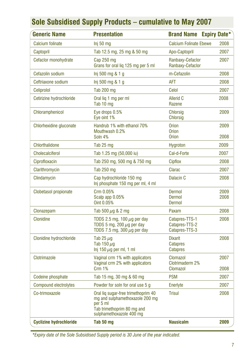| <b>Generic Name</b>            | <b>Presentation</b>                                                                                                                          | <b>Brand Name</b>                                    | <b>Expiry Date*</b> |
|--------------------------------|----------------------------------------------------------------------------------------------------------------------------------------------|------------------------------------------------------|---------------------|
| Calcium folinate               | $Inj 50$ mg                                                                                                                                  | <b>Calcium Folinate Ebewe</b>                        | 2008                |
| Captopril                      | Tab 12.5 mg, 25 mg & 50 mg                                                                                                                   | Apo-Captopril                                        | 2007                |
| Cefaclor monohydrate           | $Cap$ 250 $mq$<br>Grans for oral liq 125 mg per 5 ml                                                                                         | Ranbaxy-Cefaclor<br>Ranbaxy-Cefaclor                 | 2007                |
| Cefazolin sodium               | Inj 500 mg & 1 g                                                                                                                             | m-Cefazolin                                          | 2008                |
| Ceftriaxone sodium             | Inj 500 mg & 1 g                                                                                                                             | AFT                                                  | 2008                |
| Celiprolol                     | Tab 200 mg                                                                                                                                   | Celol                                                | 2007                |
| Cetirizine hydrochloride       | Oral lig 1 mg per ml<br>Tab 10 mg                                                                                                            | Allerid C<br>Razene                                  | 2008                |
| Chloramphenicol                | Eye drops 0.5%<br>Eye oint 1%                                                                                                                | <b>Chlorsig</b><br><b>Chlorsig</b>                   | 2009                |
| Chlorhexidine gluconate        | Handrub 1% with ethanol 70%<br>Mouthwash 0.2%<br>Soln 4%                                                                                     | <b>Orion</b><br><b>Orion</b><br><b>Orion</b>         | 2009<br>2008        |
| Chlorthalidone                 | Tab 25 mg                                                                                                                                    | Hygroton                                             | 2009                |
| <b>Cholecalciferol</b>         | Tab 1.25 mg (50,000 iu)                                                                                                                      | Cal-d-Forte                                          | 2007                |
| Ciprofloxacin                  | Tab 250 mg, 500 mg & 750 mg                                                                                                                  | Cipflox                                              | 2008                |
| Clarithromycin                 | Tab 250 mg                                                                                                                                   | Clarac                                               | 2007                |
| Clindamycin                    | Cap hydrochloride 150 mg<br>Inj phosphate 150 mg per ml, 4 ml                                                                                | Dalacin <sub>C</sub>                                 | 2008                |
| Clobetasol propionate          | Crm 0.05%<br>Scalp app 0.05%<br>Oint 0.05%                                                                                                   | Dermol<br>Dermol<br>Dermol                           | 2009<br>2008        |
| Clonazepam                     | Tab 500 $\mu$ g & 2 mg                                                                                                                       | Paxam                                                | 2008                |
| Clonidine                      | TDDS 2.5 mg, 100 $\mu$ g per day<br>TDDS 5 mg, 200 $\mu$ g per day<br>TDDS 7.5 mg, 300 $\mu$ g per day                                       | Catapres-TTS-1<br>Catapres-TTS-2<br>Catapres-TTS-3   | 2008                |
| <b>Clonidine hydrochloride</b> | Tab 25 $\mu$ q<br>Tab 150 $\mu$ g<br>$lnj$ 150 $\mu$ g per ml, 1 ml                                                                          | <b>Dixarit</b><br><b>Catapres</b><br><b>Catapres</b> | 2008                |
| Clotrimazole                   | Vaginal crm 1% with applicators<br>Vaginal crm 2% with applicators<br><b>Crm 1%</b>                                                          | Clomazol<br>Clotrimaderm 2%<br>Clomazol              | 2007<br>2008        |
| Codeine phosphate              | Tab 15 mg, 30 mg & 60 mg                                                                                                                     | <b>PSM</b>                                           | 2007                |
| <b>Compound electrolytes</b>   | Powder for soln for oral use 5 g                                                                                                             | Enerlyte                                             | 2007                |
| Co-trimoxazole                 | Oral lig sugar-free trimethoprim 40<br>mg and sulphamethoxazole 200 mg<br>per 5 ml<br>Tab trimethoprim 80 mg and<br>sulphamethoxazole 400 mg | <b>Trisul</b>                                        | 2008                |
| <b>Cyclizine hydrochloride</b> | Tab 50 mg                                                                                                                                    | <b>Nausicalm</b>                                     | 2009                |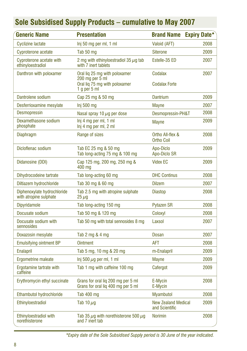| Generic Name                                          | <b>Presentation</b>                                                                                 | <b>Brand Name</b>                            | <b>Expiry Date*</b> |
|-------------------------------------------------------|-----------------------------------------------------------------------------------------------------|----------------------------------------------|---------------------|
| <b>Cyclizine lactate</b>                              | Inj 50 mg per ml, 1 ml                                                                              | Valoid (AFT)                                 | 2008                |
| Cyproterone acetate                                   | Tab 50 mg                                                                                           | <b>Siterone</b>                              | 2009                |
| Cyproterone acetate with<br>ethinyloestradiol         | 2 mg with ethinyloestradiol 35 $\mu$ g tab<br>with 7 inert tablets                                  | Estelle-35 ED                                | 2007                |
| Danthron with poloxamer                               | Oral lig 25 mg with poloxamer<br>200 mg per 5 ml<br>Oral lig 75 mg with poloxamer<br>1 g per $5$ ml | Codalax<br><b>Codalax Forte</b>              | 2007                |
| Dantrolene sodium                                     | Cap 25 mg & 50 mg                                                                                   | Dantrium                                     | 2009                |
| Desferrioxamine mesylate                              | Inj 500 mg                                                                                          | <b>Mayne</b>                                 | 2007                |
| <b>Desmopressin</b>                                   | Nasal spray 10 $\mu$ g per dose                                                                     | Desmopressin-PH&T                            | 2008                |
| Dexamethasone sodium<br>phosphate                     | Inj 4 mg per ml, 1 ml<br>Inj 4 mg per ml, 2 ml                                                      | Mayne                                        | 2009                |
| <b>Diaphragm</b>                                      | Range of sizes                                                                                      | Ortho All-flex &<br><b>Ortho Coil</b>        | 2008                |
| Dicloflenac sodium                                    | Tab EC 25 mg & 50 mg<br>Tab long-acting 75 mg & 100 mg                                              | Apo-Diclo<br>Apo-Diclo SR                    | 2009                |
| Didanosine (DDI)                                      | Cap 125 mg, 200 mg, 250 mg &<br>400 mg                                                              | <b>Videx EC</b>                              | 2009                |
| Dihydrocodeine tartrate                               | Tab long-acting 60 mg                                                                               | <b>DHC Continus</b>                          | 2008                |
| Diltiazem hydrochloride                               | Tab 30 mg & 60 mg                                                                                   | <b>Dilzem</b>                                | 2007                |
| Diphenoxylate hydrochloride<br>with atropine sulphate | Tab 2.5 mg with atropine sulphate<br>$25 \,\mu g$                                                   | <b>Diastop</b>                               | 2008                |
| Dipyridamole                                          | Tab long-acting 150 mg                                                                              | <b>Pytazen SR</b>                            | 2008                |
| Docusate sodium                                       | Tab 50 mg & 120 mg                                                                                  | Coloxyl                                      | 2008                |
| Docusate sodium with<br>sennosides                    | Tab 50 mg with total sennosides 8 mg                                                                | Laxsol                                       | 2007                |
| Doxazosin mesylate                                    | Tab 2 mg & 4 mg                                                                                     | Dosan                                        | 2007                |
| <b>Emulsifying ointment BP</b>                        | <b>Ointment</b>                                                                                     | <b>AFT</b>                                   | 2008                |
| <b>Enalapril</b>                                      | Tab 5 mg, 10 mg & 20 mg                                                                             | m-Enalapril                                  | 2009                |
| Ergometrine maleate                                   | Inj 500 $\mu$ g per ml, 1 ml                                                                        | <b>Mayne</b>                                 | 2009                |
| Ergotamine tartrate with<br>caffeine                  | Tab 1 mg with caffeine 100 mg                                                                       | Cafergot                                     | 2009                |
| Erythromycin ethyl succinate                          | Grans for oral lig 200 mg per 5 ml<br>Grans for oral lig 400 mg per 5 ml                            | E-Mycin<br>E-Mycin                           | 2008                |
| Ethambutol hydrochloride                              | Tab 400 mg                                                                                          | <b>Myambutol</b>                             | 2008                |
| Ethinyloestradiol                                     | Tab 10 $\mu$ g                                                                                      | <b>New Zealand Medical</b><br>and Scientific | 2009                |
| Ethinyloestradiol with<br>norethisterone              | Tab 35 $\mu$ g with norethisterone 500 $\mu$ g<br>and 7 inert tab                                   | <b>Norimin</b>                               | 2008                |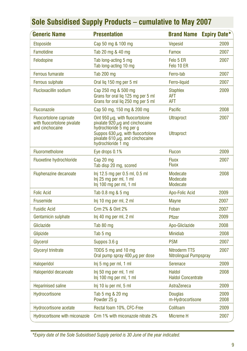| <b>Generic Name</b>                                                      | <b>Presentation</b>                                                                                                                                                                                               | <b>Brand Name Expiry Date*</b>          |              |
|--------------------------------------------------------------------------|-------------------------------------------------------------------------------------------------------------------------------------------------------------------------------------------------------------------|-----------------------------------------|--------------|
| Etoposide                                                                | Cap 50 mg & 100 mg                                                                                                                                                                                                | Vepesid                                 | 2009         |
| Famotidine                                                               | Tab 20 mg & 40 mg                                                                                                                                                                                                 | Famox                                   | 2007         |
| Felodopine                                                               | Tab long-acting 5 mg<br>Tab long-acting 10 mg                                                                                                                                                                     | Felo 5 ER<br>Felo 10 ER                 | 2007         |
| <b>Ferrous fumarate</b>                                                  | <b>Tab 200 mg</b>                                                                                                                                                                                                 | Ferro-tab                               | 2007         |
| Ferrous sulphate                                                         | Oral lig 150 mg per 5 ml                                                                                                                                                                                          | Ferro-liquid                            | 2007         |
| <b>Flucloxacillin sodium</b>                                             | Cap 250 mg & 500 mg<br>Grans for oral liq 125 mg per 5 ml<br>Grans for oral lig 250 mg per 5 ml                                                                                                                   | <b>Staphlex</b><br>AFT<br><b>AFT</b>    | 2009         |
| Fluconazole                                                              | Cap 50 mg, 150 mg & 200 mg                                                                                                                                                                                        | <b>Pacific</b>                          | 2008         |
| Fluocortolone caproate<br>with fluocortolone pivalate<br>and cinchocaine | Oint 950 $\mu$ g, with fluocortolone<br>pivalate 920 $\mu$ q and cinchocaine<br>hydrochloride 5 mg per g<br>Suppos 630 $\mu$ g, with fluocortolone<br>pivalate 610 $\mu$ g, and cinchocaine<br>hydrochloride 1 mg | <b>Ultraproct</b><br><b>Ultraproct</b>  | 2007         |
| Fluorometholone                                                          | Eye drops 0.1%                                                                                                                                                                                                    | <b>Flucon</b>                           | 2009         |
| <b>Fluoxetine hydrochloride</b>                                          | Cap 20 mg<br>Tab disp 20 mg, scored                                                                                                                                                                               | <b>Fluox</b><br><b>Fluox</b>            | 2007         |
| Fluphenazine decanoate                                                   | Inj 12.5 mg per 0.5 ml, 0.5 ml<br>Inj 25 mg per ml, 1 ml<br>Inj 100 mg per ml, 1 ml                                                                                                                               | Modecate<br>Modecate<br>Modecate        | 2008         |
| <b>Folic Acid</b>                                                        | Tab 0.8 mg & 5 mg                                                                                                                                                                                                 | Apo-Folic Acid                          | 2009         |
| Frusemide                                                                | Inj 10 mg per ml, 2 ml                                                                                                                                                                                            | <b>Mayne</b>                            | 2007         |
| <b>Fusidic Acid</b>                                                      | Crm 2% & Oint 2%                                                                                                                                                                                                  | Foban                                   | 2007         |
| Gentamicin sulphate                                                      | Inj 40 mg per ml, 2 ml                                                                                                                                                                                            | <b>Pfizer</b>                           | 2009         |
| Gliclazide                                                               | Tab 80 mg                                                                                                                                                                                                         | Apo-Gliclazide                          | 2008         |
| Glipizide                                                                | Tab 5 mg                                                                                                                                                                                                          | <b>Minidiab</b>                         | 2008         |
| Glycerol                                                                 | Suppos 3.6 g                                                                                                                                                                                                      | <b>PSM</b>                              | 2007         |
| Glyceryl trinitrate                                                      | TDDS 5 mg and 10 mg<br>Oral pump spray 400 $\mu$ g per dose                                                                                                                                                       | Nitroderm TTS<br>Nitrolingual Pumpspray | 2007         |
| Haloperidol                                                              | Inj 5 mg per ml, 1 ml                                                                                                                                                                                             | <b>Serenace</b>                         | 2009         |
| Haloperidol decanoate                                                    | Inj 50 mg per ml, 1 ml<br>Inj 100 mg per ml, 1 ml                                                                                                                                                                 | Haldol<br><b>Haldol Concentrate</b>     | 2008         |
| <b>Heparinised saline</b>                                                | Inj 10 iu per ml, 5 ml                                                                                                                                                                                            | AstraZeneca                             | 2009         |
| Hydrocortisone                                                           | Tab 5 mg & 20 mg<br>Powder 25 q                                                                                                                                                                                   | <b>Douglas</b><br>m-Hydrocortisone      | 2009<br>2008 |
| <b>Hydrocortisone acetate</b>                                            | Rectal foam 10%, CFC-Free                                                                                                                                                                                         | Colifoam                                | 2009         |
| Hydrocortisone with miconazole                                           | Crm 1% with miconazole nitrate 2%                                                                                                                                                                                 | Micreme H                               | 2007         |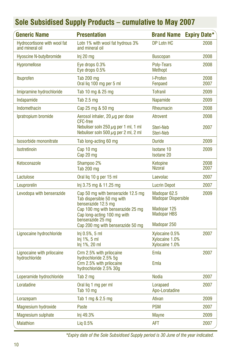| <b>Generic Name</b>                             | <b>Presentation</b>                                                                                                          | <b>Brand Name</b>                                         | <b>Expiry Date*</b> |
|-------------------------------------------------|------------------------------------------------------------------------------------------------------------------------------|-----------------------------------------------------------|---------------------|
| Hydrocortisone with wool fat<br>and mineral oil | Lotn 1% with wool fat hydrous 3%<br>and mineral oil                                                                          | DP Lotn HC                                                | 2008                |
| <b>Hyoscine N-butylbromide</b>                  | Inj 20 mg                                                                                                                    | <b>Buscopan</b>                                           | 2008                |
| Hypromellose                                    | Eye drops 0.3%<br>Eye drops 0.5%                                                                                             | Poly-Tears<br><b>Methopt</b>                              | 2008                |
| Ibuprofen                                       | <b>Tab 200 mg</b><br>Oral lig 100 mg per 5 ml                                                                                | I-Profen<br>Fenpaed                                       | 2008<br>2007        |
| Imipramine hydrochloride                        | Tab 10 mg & 25 mg                                                                                                            | <b>Tofranil</b>                                           | 2009                |
| Indapamide                                      | Tab $2.5$ mg                                                                                                                 | Napamide                                                  | 2009                |
| Indomethacin                                    | Cap 25 mg & 50 mg                                                                                                            | Rheumacin                                                 | 2008                |
| Ipratropium bromide                             | Aerosol inhaler, 20 $\mu$ q per dose<br><b>CFC-free</b>                                                                      | Atrovent                                                  | 2008                |
|                                                 | Nebuliser soln 250 $\mu$ g per 1 ml, 1 ml<br>Nebuliser soln 500 $\mu$ g per 2 ml, 2 ml                                       | Steri-Neb<br>Steri-Neb                                    | 2007                |
| Isosorbide mononitrate                          | Tab long-acting 60 mg                                                                                                        | <b>Duride</b>                                             | 2009                |
| Isotretinoin                                    | Cap 10 mg<br>Cap 20 mg                                                                                                       | <b>Isotane 10</b><br><b>Isotane 20</b>                    | 2009                |
| Ketoconazole                                    | Shampoo 2%<br><b>Tab 200 mg</b>                                                                                              | Ketopine<br><b>Nizoral</b>                                | 2008<br>2007        |
| Lactulose                                       | Oral lig 10 g per 15 ml                                                                                                      | Laevolac                                                  | 2007                |
| Leuprorelin                                     | lnj 3.75 mg & 11.25 mg                                                                                                       | <b>Lucrin Depot</b>                                       | 2007                |
| Levodopa with benserazide                       | Cap 50 mg with benserazide 12.5 mg<br>Tab dispersible 50 mg with<br>benserazide 12.5 mg<br>Cap 100 mg with benserazide 25 mg | Madopar 62.5<br><b>Madopar Dispersible</b><br>Madopar 125 | 2009                |
|                                                 | Cap long-acting 100 mg with<br>benserazide 25 mg                                                                             | <b>Madopar HBS</b>                                        |                     |
|                                                 | Cap 200 mg with benserazide 50 mg                                                                                            | Madopar 250                                               |                     |
| Lignocaine hydrochloride                        | Inj 0.5%, 5 ml<br>$Inj$ 1%, 5 ml<br>Inj 1%, 20 ml                                                                            | Xylocaine 0.5%<br>Xylocaine 1.0%<br>Xylocaine 1.0%        | 2007                |
| Lignocaine with prilocaine<br>hydrochloride     | Crm 2.5% with prilocaine<br>hydrochloride 2.5% 5g                                                                            | Emla                                                      | 2007                |
|                                                 | Crm 2.5% with prilocaine<br>hydrochloride 2.5% 30g                                                                           | Emla                                                      |                     |
| Loperamide hydrochloride                        | Tab 2 mg                                                                                                                     | <b>Nodia</b>                                              | 2007                |
| Loratadine                                      | Oral lig 1 mg per ml<br>Tab 10 mg                                                                                            | Lorapaed<br>Apo-Loratadine                                | 2007                |
| Lorazepam                                       | Tab 1 mg & 2.5 mg                                                                                                            | Ativan                                                    | 2009                |
| Magnesium hydroxide                             | Paste                                                                                                                        | <b>PSM</b>                                                | 2007                |
| <b>Magnesium sulphate</b>                       | Inj 49.3%                                                                                                                    | <b>Mayne</b>                                              | 2009                |
| <b>Malathion</b>                                | Lig 0.5%                                                                                                                     | <b>AFT</b>                                                | 2007                |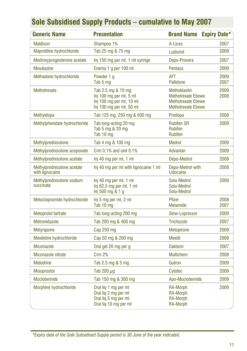| <b>Generic Name</b>                           | <b>Presentation</b>                                                                                   | <b>Brand Name</b>                                                                                          | <b>Expiry Date*</b> |
|-----------------------------------------------|-------------------------------------------------------------------------------------------------------|------------------------------------------------------------------------------------------------------------|---------------------|
| <b>Maldison</b>                               | Shampoo 1%                                                                                            | A-Lices                                                                                                    | 2007                |
| Maprotiline hydrochloride                     | Tab 25 mg & 75 mg                                                                                     | Ludiomil                                                                                                   | 2009                |
| Medroxyprogesterone acetate                   | Inj 150 mg per ml, 1 ml syringe                                                                       | Depo-Provera                                                                                               | 2007                |
| <b>Mesalazine</b>                             | Enema 1 g per 100 ml                                                                                  | Pentasa                                                                                                    | 2009                |
| Methadone hydrochloride                       | Powder 1 a<br>Tab 5 mg                                                                                | <b>AFT</b><br>Pallidone                                                                                    | 2009<br>2007        |
| Methotrexate                                  | Tab 2.5 mg & 10 mg<br>Inj 100 mg per ml, 5 ml<br>Inj 100 mg per ml, 10 ml<br>Inj 100 mg per ml, 50 ml | <b>Methoblastin</b><br><b>Methotrexate Ebewe</b><br><b>Methotrexate Ebewe</b><br><b>Methotrexate Ebewe</b> | 2009<br>2008        |
| Methyldopa                                    | Tab 125 mg, 250 mg & 500 mg                                                                           | Prodopa                                                                                                    | 2008                |
| Methylphenidate hydrochloride                 | Tab long-acting 20 mg<br>Tab 5 mg & 20 mg<br>Tab 10 mg                                                | <b>Rubifen SR</b><br><b>Rubifen</b><br><b>Rubifen</b>                                                      | 2009                |
| Methylprednisolone                            | Tab 4 mg & 100 mg                                                                                     | <b>Medrol</b>                                                                                              | 2009                |
| Methylprednisolone aceponate                  | Crm 0.1% and oint 0.1%                                                                                | Advantan                                                                                                   | 2009                |
| Methylprednisolone acetate                    | Inj 40 mg per ml, 1 ml                                                                                | Depo-Medrol                                                                                                | 2008                |
| Methylprednisolone acetate<br>with lignocaine | Inj 40 mg per ml with lignocaine 1 ml                                                                 | Depo-Medrol with<br>Lidocaine                                                                              | 2008                |
| Methylprednisolone sodium<br>succinate        | Inj 40 mg per ml, 1 ml<br>$Inj$ 62.5 mg per ml, 1 ml<br>Inj 500 mg & 1 g                              | Solu-Medrol<br>Solu-Medrol<br>Solu-Medrol                                                                  | 2009                |
| Metoclopramide hydrochloride                  | Inj 5 mg per ml, 2 ml<br>Tab 10 mg                                                                    | Pfizer<br>Metamide                                                                                         | 2008<br>2007        |
| Metoprolol tartrate                           | Tab long-acting 200 mg                                                                                | Slow-Lopressor                                                                                             | 2009                |
| Metronidazole                                 | Tab 200 mg & 400 mg                                                                                   | Trichozole                                                                                                 | 2007                |
| <b>Metyrapone</b>                             | Cap $250$ mg                                                                                          | <b>Metopirone</b>                                                                                          | 2009                |
| Mexiletine hydrochloride                      | Cap 50 mg & 200 mg                                                                                    | <b>Mexitil</b>                                                                                             | 2008                |
| <b>Miconazole</b>                             | Oral gel 20 mg per g                                                                                  | <b>Daktarin</b>                                                                                            | 2007                |
| Miconazole nitrate                            | <b>Crm 2%</b>                                                                                         | <b>Multichem</b>                                                                                           | 2008                |
| <b>Midodrine</b>                              | Tab 2.5 mg & 5 mg                                                                                     | Gutron                                                                                                     | 2009                |
| <b>Misoprostol</b>                            | Tab 200 $\mu$ g                                                                                       | Cytotec                                                                                                    | 2009                |
| Moclobemide                                   | Tab 150 mg & 300 mg                                                                                   | Apo-Moclobemide                                                                                            | 2009                |
| Morphine hydrochloride                        | Oral lig 1 mg per ml<br>Oral liq 2 mg per ml<br>Oral liq 5 mg per ml<br>Oral liq 10 mg per ml         | <b>RA-Morph</b><br><b>RA-Morph</b><br><b>RA-Morph</b><br><b>RA-Morph</b>                                   | 2009                |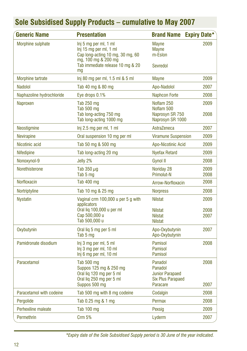| <b>Generic Name</b>       | <b>Presentation</b>                                                                                                                            | <b>Brand Name</b>                                                                    | <b>Expiry Date*</b>  |
|---------------------------|------------------------------------------------------------------------------------------------------------------------------------------------|--------------------------------------------------------------------------------------|----------------------|
| Morphine sulphate         | Inj 5 mg per ml, 1 ml<br>Inj 15 mg per ml, 1 ml<br>Cap long-acting 10 mg, 30 mg, 60<br>mg, 100 mg & 200 mg<br>Tab immediate release 10 mg & 20 | Mayne<br>Mayne<br>m-Eslon<br>Sevredol                                                | 2009                 |
| Morphine tartrate         | mq<br>Inj 80 mg per ml, 1.5 ml & 5 ml                                                                                                          | Mayne                                                                                | 2009                 |
| Nadolol                   | Tab 40 mg & 80 mg                                                                                                                              | Apo-Nadolol                                                                          | 2007                 |
| Naphazoline hydrochloride | Eye drops 0.1%                                                                                                                                 | <b>Naphcon Forte</b>                                                                 | 2008                 |
| Naproxen                  | Tab 250 mg<br>Tab 500 mg<br>Tab long-acting 750 mg<br>Tab long-acting 1000 mg                                                                  | Noflam 250<br>Noflam 500<br>Naprosyn SR 750<br>Naprosyn SR 1000                      | 2009<br>2008         |
| Neostigmine               | Inj 2.5 mg per ml, 1 ml                                                                                                                        | AstraZeneca                                                                          | 2007                 |
| <b>Nevirapine</b>         | Oral suspension 10 mg per ml                                                                                                                   | <b>Viramune Suspension</b>                                                           | 2009                 |
| Nicotinic acid            | Tab 50 mg & 500 mg                                                                                                                             | Apo-Nicotinic Acid                                                                   | 2009                 |
| <b>Nifedipine</b>         | Tab long-acting 20 mg                                                                                                                          | <b>Nyefax Retard</b>                                                                 | 2009                 |
| Nonoxynol-9               | Jelly 2%                                                                                                                                       | Gynol II                                                                             | 2008                 |
| Norethisterone            | Tab 350 $\mu$ g<br>Tab 5 mg                                                                                                                    | Noriday 28<br>Primolut-N                                                             | 2009<br>2008         |
| Norfloxacin               | Tab 400 mg                                                                                                                                     | Arrow-Norfloxacin                                                                    | 2008                 |
| Nortriptyline             | Tab 10 mg & 25 mg                                                                                                                              | <b>Norpress</b>                                                                      | 2008                 |
| <b>Nystatin</b>           | Vaginal crm 100,000 u per 5 g with<br>applicators<br>Oral lig 100,000 u per ml<br>Cap 500,000 u<br>Tab 500,000 u                               | <b>Nilstat</b><br><b>Nilstat</b><br><b>Nilstat</b><br><b>Nilstat</b>                 | 2009<br>2008<br>2007 |
| Oxybutynin                | Oral lig 5 mg per 5 ml<br>Tab 5 mg                                                                                                             | Apo-Oxybutynin<br>Apo-Oxybutynin                                                     | 2007                 |
| Pamidronate disodium      | Inj 3 mg per ml, 5 ml<br>Inj 3 mg per ml, 10 ml<br>Inj 6 mg per ml, 10 ml                                                                      | <b>Pamisol</b><br>Pamisol<br>Pamisol                                                 | 2008                 |
| Paracetamol               | Tab 500 mg<br>Suppos 125 mg & 250 mg<br>Oral lig 120 mg per 5 ml<br>Oral liq 250 mg per 5 ml<br>Suppos 500 mg                                  | Panadol<br>Panadol<br><b>Junior Parapaed</b><br><b>Six Plus Parapaed</b><br>Paracare | 2008<br>2007         |
| Paracetamol with codeine  | Tab 500 mg with 8 mg codeine                                                                                                                   | Codalgin                                                                             | 2008                 |
| Pergolide                 | Tab 0.25 mg & 1 mg                                                                                                                             | Permax                                                                               | 2008                 |
| Perhexiline maleate       | Tab 100 mg                                                                                                                                     | Pexsig                                                                               | 2009                 |
| Permethrin                | Crm 5%                                                                                                                                         | Lyderm                                                                               | 2007                 |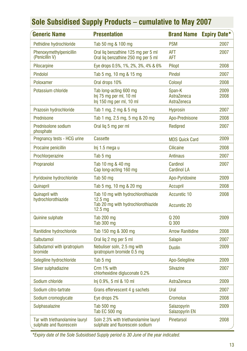| <b>Generic Name</b>                                         | <b>Presentation</b>                                                                                                  | <b>Brand Name</b>                    | <b>Expiry Date*</b> |
|-------------------------------------------------------------|----------------------------------------------------------------------------------------------------------------------|--------------------------------------|---------------------|
| Pethidine hydrochloride                                     | Tab 50 mg & 100 mg                                                                                                   | <b>PSM</b>                           | 2007                |
| Phenoxymethylpenicillin<br>(Penicillin V)                   | Oral lig benzathine 125 mg per 5 ml<br>Oral lig benzathine 250 mg per 5 ml                                           | AFT<br>AFT                           | 2007                |
| Pilocarpine                                                 | Eye drops 0.5%, 1%, 2%, 3%, 4% & 6%                                                                                  | Pilopt                               | 2008                |
| Pindolol                                                    | Tab 5 mg, 10 mg & 15 mg                                                                                              | Pindol                               | 2007                |
| Poloxamer                                                   | Oral drops 10%                                                                                                       | Coloxyl                              | 2008                |
| Potassium chloride                                          | Tab long-acting 600 mg<br>Inj 75 mg per ml, 10 ml<br>Inj 150 mg per ml, 10 ml                                        | Span-K<br>AstraZeneca<br>AstraZeneca | 2009<br>2008        |
| Prazosin hydrochloride                                      | Tab 1 mg, 2 mg & 5 mg                                                                                                | <b>Hyprosin</b>                      | 2007                |
| Prednisone                                                  | Tab 1 mg, 2.5 mg, 5 mg & 20 mg                                                                                       | Apo-Prednisone                       | 2008                |
| Prednisolone sodium<br>phosphate                            | Oral lig 5 mg per ml                                                                                                 | Redipred                             | 2007                |
| Pregnancy tests - HCG urine                                 | Cassette                                                                                                             | <b>MDS Quick Card</b>                | 2009                |
| Procaine penicillin                                         | Inj 1.5 mega u                                                                                                       | <b>Cilicaine</b>                     | 2008                |
| Prochlorperazine                                            | Tab 5 mg                                                                                                             | <b>Antinaus</b>                      | 2007                |
| Propranolol                                                 | Tab 10 mg & 40 mg<br>Cap long-acting 160 mg                                                                          | Cardinol<br><b>Cardinol LA</b>       | 2007                |
| Pyridoxine hydrochloride                                    | Tab 50 mg                                                                                                            | Apo-Pyridoxine                       | 2009                |
| Quinapril                                                   | Tab 5 mg, 10 mg & 20 mg                                                                                              | Accupril                             | 2008                |
| <b>Quinapril with</b><br>hydrochlorothiazide                | Tab 10 mg with hydrochlorothiazide<br>12.5 <sub>ma</sub><br>Tab 20 mg with hydrochlorothiazide<br>12.5 <sub>mg</sub> | Accuretic 10<br><b>Accuretic 20</b>  | 2008                |
| <b>Quinine sulphate</b>                                     | <b>Tab 200 mg</b><br>Tab 300 mg                                                                                      | Q 200<br>Q 300                       | 2009                |
| Ranitidine hydrochloride                                    | Tab 150 mg & 300 mg                                                                                                  | <b>Arrow Ranitidine</b>              | 2008                |
| Salbutamol                                                  | Oral lig 2 mg per 5 ml                                                                                               | <b>Salapin</b>                       | 2007                |
| Salbutamol with ipratropium<br>bromide                      | Nebuliser soln, 2.5 mg with<br>ipratropium bromide 0.5 mg                                                            | <b>Duolin</b>                        | 2009                |
| Selegiline hydrochloride                                    | Tab 5 mg                                                                                                             | Apo-Selegiline                       | 2009                |
| Silver sulphadiazine                                        | Crm 1% with<br>chlorhexidine digluconate 0.2%                                                                        | <b>Silvazine</b>                     | 2007                |
| Sodium chloride                                             | Inj 0.9%, 5 ml & 10 ml                                                                                               | AstraZeneca                          | 2009                |
| Sodium citro-tartrate                                       | Grans effervescent 4 g sachets                                                                                       | Ural                                 | 2007                |
| Sodium cromoglycate                                         | Eye drops 2%                                                                                                         | Cromolux                             | 2008                |
| Sulphasalazine                                              | Tab 500 mg<br>Tab EC 500 mg                                                                                          | Salazopyrin<br>Salazopyrin EN        | 2009                |
| Tar with triethanolamine lauryl<br>sulphate and fluorescein | Soln 2.3% with triethanolamine lauryl<br>sulphate and fluorescein sodium                                             | Pinetarsol                           | 2008                |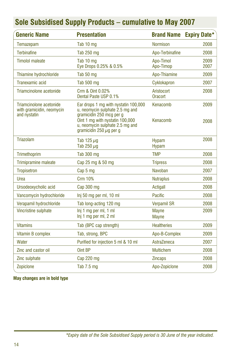| <b>Generic Name</b>                                                  | <b>Presentation</b>                                                                                                                                                                                       |                              | <b>Brand Name Expiry Date*</b> |
|----------------------------------------------------------------------|-----------------------------------------------------------------------------------------------------------------------------------------------------------------------------------------------------------|------------------------------|--------------------------------|
| Temazepam                                                            | Tab 10 mg                                                                                                                                                                                                 | <b>Normison</b>              | 2008                           |
| <b>Terbinafine</b>                                                   | Tab 250 mg                                                                                                                                                                                                | Apo-Terbinafine              | 2008                           |
| <b>Timolol maleate</b>                                               | Tab 10 mg<br>Eye Drops 0.25% & 0.5%                                                                                                                                                                       | Apo-Timol<br>Apo-Timop       | 2009<br>2007                   |
| Thiamine hydrochloride                                               | Tab 50 mg                                                                                                                                                                                                 | Apo-Thiamine                 | 2009                           |
| Tranexamic acid                                                      | Tab 500 mg                                                                                                                                                                                                | Cyklokapron                  | 2007                           |
| Triamcinolone acetonide                                              | Crm & Oint 0.02%<br>Dental Paste USP 0.1%                                                                                                                                                                 | Aristocort<br><b>Oracort</b> | 2008                           |
| Triamcinolone acetonide<br>with gramicidin, neomycin<br>and nystatin | Ear drops 1 mg with nystatin 100,000<br>u, neomycin sulphate 2.5 mg and<br>gramicidin 250 mcg per g<br>Oint 1 mg with nystatin 100,000<br>u, neomycin sulphate 2.5 mg and<br>gramicidin 250 $\mu$ g per g | Kenacomb<br>Kenacomb         | 2009<br>2008                   |
| <b>Triazolam</b>                                                     | Tab 125 $\mu$ g<br>Tab 250 $\mu$ g                                                                                                                                                                        | <b>Hypam</b><br><b>Hypam</b> | 2008                           |
| Trimethoprim                                                         | <b>Tab 300 mg</b>                                                                                                                                                                                         | <b>TMP</b>                   | 2008                           |
| <b>Trimipramine maleate</b>                                          | Cap 25 mg & 50 mg                                                                                                                                                                                         | <b>Tripress</b>              | 2008                           |
| <b>Tropisetron</b>                                                   | Cap 5 mg                                                                                                                                                                                                  | Navoban                      | 2007                           |
| Urea                                                                 | <b>Crm 10%</b>                                                                                                                                                                                            | <b>Nutraplus</b>             | 2008                           |
| Ursodeoxycholic acid                                                 | Cap 300 mg                                                                                                                                                                                                | <b>Actigall</b>              | 2008                           |
| Vancomycin hydrochloride                                             | Inj 50 mg per ml, 10 ml                                                                                                                                                                                   | Pacific                      | 2008                           |
| Verapamil hydrochloride                                              | Tab long-acting 120 mg                                                                                                                                                                                    | <b>Verpamil SR</b>           | 2008                           |
| Vincristine sulphate                                                 | Inj 1 mg per ml, 1 ml<br>Inj 1 mg per ml, 2 ml                                                                                                                                                            | <b>Mayne</b><br><b>Mayne</b> | 2009                           |
| <b>Vitamins</b>                                                      | Tab (BPC cap strength)                                                                                                                                                                                    | <b>Healtheries</b>           | 2009                           |
| Vitamin B complex                                                    | Tab, strong, BPC                                                                                                                                                                                          | Apo-B-Complex                | 2009                           |
| Water                                                                | Purified for injection 5 ml & 10 ml                                                                                                                                                                       | AstraZeneca                  | 2007                           |
| Zinc and castor oil                                                  | Oint BP                                                                                                                                                                                                   | <b>Multichem</b>             | 2008                           |
| Zinc sulphate                                                        | Cap 220 mg                                                                                                                                                                                                | <b>Zincaps</b>               | 2008                           |
| Zopiclone                                                            | Tab 7.5 mg                                                                                                                                                                                                | Apo-Zopiclone                | 2008                           |

**May changes are in bold type**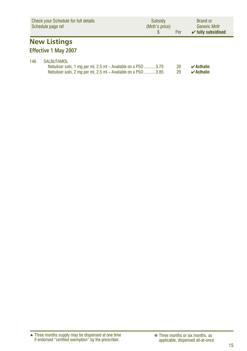|     | <b>Check your Schedule for full details</b><br>Schedule page ref                                                                                    | Subsidy<br>(Mnfr's price)<br>\$. | Per      | <b>Brand or</b><br><b>Generic Mnfr</b><br>$\checkmark$ fully subsidised |
|-----|-----------------------------------------------------------------------------------------------------------------------------------------------------|----------------------------------|----------|-------------------------------------------------------------------------|
|     | <b>New Listings</b><br><b>Effective 1 May 2007</b>                                                                                                  |                                  |          |                                                                         |
| 146 | <b>SALBUTAMOL</b><br>Nebuliser soln, 1 mg per ml, 2.5 ml - Available on a PSO 3.70<br>Nebuliser soln, 2 mg per ml, 2.5 ml – Available on a PSO 3.85 |                                  | 20<br>20 | $\boldsymbol{\nu}$ Asthalin<br>$\boldsymbol{\nu}$ Asthalin              |

Three months supply may be dispensed at one time if endorsed "certified exemption" by the prescriber. ▲ ❋ Three months or six months, as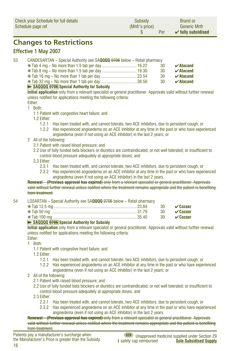| <b>Check your Schedule for full details</b> | Subsidy        | <b>Brand or</b>               |
|---------------------------------------------|----------------|-------------------------------|
| Schedule page ref                           | (Mnfr's price) | <b>Generic Mnfr</b>           |
|                                             | Per            | $\checkmark$ fully subsidised |

### **Changes to Restrictions**

#### **Effective 1 May 2007**

53 CANDESARTAN – Special Authority see SA**QQQQ** 0706 below – Retail pharmacy

|  | -30 | $\boldsymbol{\checkmark}$ Atacand |
|--|-----|-----------------------------------|
|  | -30 | $\boldsymbol{\checkmark}$ Atacand |
|  | -30 | $\boldsymbol{\checkmark}$ Atacand |
|  | -30 | $\boldsymbol{\checkmark}$ Atacand |
|  |     |                                   |

#### ➽ **SAQQQQ 0706 Special Authority for Subsidy**

**Initial application** only from a relevant specialist or general practitioner. Approvals valid without further renewal unless notified for applications meeting the following criteria:

#### Either:

- 1 Both:
	- 1.1 Patient with congestive heart failure; and
	- 1.2 Either:
		- 1.2.1 Has been treated with, and cannot tolerate, two ACE inhibitors, due to persistent cough; or
		- 1.2.2 Has experienced angioedema on an ACE inhibitor at any time in the past or who have experienced angioedema (even if not using an ACE inhibitor) in the last 2 years; or
- 2 All of the following:
	- 2.1 Patient with raised blood pressure; and
	- 2.2 Use of fully funded beta blockers or diuretics are contraindicated; or not well tolerated; or insufficient to control blood pressure adequately at appropriate doses; and
	- 2.3 Either:
		- 2.3.1 Has been treated with, and cannot tolerate, two ACE inhibitors, due to persistent cough; or
		- 2.3.2 Has experienced angioedema on an ACE inhibitor at any time in the past or who have experienced angioedema (even if not using an ACE inhibitor) in the last 2 years.

#### **Renewal – (Previous approval has expired)** only from a relevant specialist or general practitioner. Approvals valid without further renewal unless notified where the treatment remains appropriate and the patient is benefiting from treatment.

| 54            LOSARTAN – Special Authority see SA <b>QQQQ</b> <del>0706</del> below – Retail pharmacy |                     |
|-------------------------------------------------------------------------------------------------------|---------------------|
|                                                                                                       |                     |
|                                                                                                       | 30 $\sqrt{c}$ ozaar |
|                                                                                                       |                     |

#### ➽ **SAQQQQ 0706 Special Authority for Subsidy**

**Initial application** only from a relevant specialist or general practitioner. Approvals valid without further renewal unless notified for applications meeting the following criteria:

Either: 1 Both:

- 1.1 Patient with congestive heart failure; and
- 1.2 Either:
	- 1.2.1 Has been treated with, and cannot tolerate, two ACE inhibitors, due to persistent cough; or
	- 1.2.2 Has experienced angioedema on an ACE inhibitor at any time in the past or who have experienced angioedema (even if not using an ACE inhibitor) in the last 2 years; or
- 2 All of the following:
	- 2.1 Patient with raised blood pressure; and
	- 2.2 Use of fully funded beta blockers or diuretics are contraindicated; or not well tolerated; or insufficient to control blood pressure adequately at appropriate doses; and
	- 2.3 Either:
		- 2.3.1 Has been treated with, and cannot tolerate, two ACE inhibitors, due to persistent cough; or
		- 2.3.2 Has experienced angioedema on an ACE inhibitor at any time in the past or who have experienced angioedema (even if not using an ACE inhibitor) in the last 2 years.

**Renewal – (Previous approval has expired)** only from a relevant specialist or general practitioner. Approvals valid without further renewal unless notified where the treatment remains appropriate and the patient is benefiting from treatment.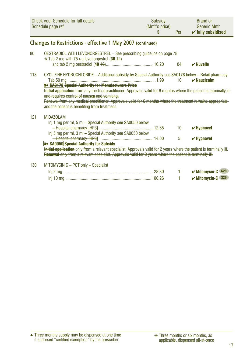|     | <b>Check your Schedule for full details</b><br>Schedule page ref                                                                                                                                                                                                                                                                    | Subsidy<br>(Mnfr's price)<br>S | Per | <b>Brand or</b><br><b>Generic Mnfr</b><br>$\checkmark$ fully subsidised |
|-----|-------------------------------------------------------------------------------------------------------------------------------------------------------------------------------------------------------------------------------------------------------------------------------------------------------------------------------------|--------------------------------|-----|-------------------------------------------------------------------------|
|     | <b>Changes to Restrictions - effective 1 May 2007 (continued)</b>                                                                                                                                                                                                                                                                   |                                |     |                                                                         |
| 80  | OESTRADIOL WITH LEVONORGESTREL - See prescribing guideline on page 78                                                                                                                                                                                                                                                               |                                |     |                                                                         |
|     | $*$ Tab 2 mg with 75 $\mu$ g levonorgestrel (36 +2)                                                                                                                                                                                                                                                                                 |                                | 84  | $\boldsymbol{\nu}$ Nuvelle                                              |
| 113 | CYCLIZINE HYDROCHLORIDE - Additional subsidy by Special Authority see SA0178 below - Retail pharmacy                                                                                                                                                                                                                                |                                |     |                                                                         |
|     | <b>&gt;&gt; SA0178 Special Authority for Manufacturers Price</b>                                                                                                                                                                                                                                                                    |                                | 10  | $\boldsymbol{\checkmark}$ Nausicalm                                     |
|     | Initial application from any medical practitioner. Approvals valid for 6 months where the patient is terminally ill<br>and requires control of nausea and vomiting.<br>Renewal from any medical practitioner. Approvals valid for 6 months where the treatment remains appropriate<br>and the patient is benefiting from treatment. |                                |     |                                                                         |
| 121 | <b>MIDAZOLAM</b>                                                                                                                                                                                                                                                                                                                    |                                |     |                                                                         |
|     | Inj 1 mg per ml, 5 ml - Special Authority see SA0050 below                                                                                                                                                                                                                                                                          |                                |     |                                                                         |
|     | Inj 5 mg per ml, 3 ml - Special Authority see SA0050 below                                                                                                                                                                                                                                                                          |                                | 10  | $\checkmark$ Hypnovel                                                   |
|     | <b>B&gt; SA0050 Special Authority for Subsidy</b>                                                                                                                                                                                                                                                                                   |                                | 5   | $\checkmark$ Hvpnovel                                                   |
|     | Initial application only from a relevant specialist. Approvals valid for 2 years where the patient is terminally ill.                                                                                                                                                                                                               |                                |     |                                                                         |
|     | Renewal only from a relevant specialist. Approvals valid for 2 years where the patient is terminally ill.                                                                                                                                                                                                                           |                                |     |                                                                         |
| 130 | MITOMYCIN C - PCT only - Specialist                                                                                                                                                                                                                                                                                                 |                                |     |                                                                         |
|     |                                                                                                                                                                                                                                                                                                                                     |                                |     | <b>S29</b><br>$\checkmark$ Mitomycin-C                                  |
|     |                                                                                                                                                                                                                                                                                                                                     |                                |     | <b>S29</b><br>$\checkmark$ Mitomycin-C                                  |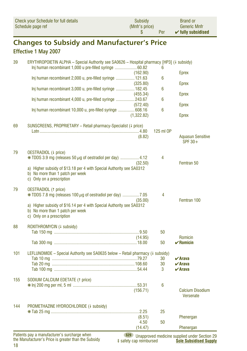| Check your Schedule for full details | Subsidy        | <b>Brand or</b>               |
|--------------------------------------|----------------|-------------------------------|
| Schedule page ref                    | (Mnfr's price) | <b>Generic Mnfr</b>           |
|                                      | Per            | $\checkmark$ fully subsidised |

# **Changes to Subsidy and Manufacturer's Price**

### **Effective 1 May 2007**

| 39  | ERYTHROPOIETIN ALPHA - Special Authority see SA0626 - Hospital pharmacy [HP3] (4 subsidy)<br>Inj human recombinant 1,000 u pre-filled syringe  60.82 |                 | 6         |                                                   |
|-----|------------------------------------------------------------------------------------------------------------------------------------------------------|-----------------|-----------|---------------------------------------------------|
|     |                                                                                                                                                      | (162.90)        |           | <b>Eprex</b>                                      |
|     | Inj human recombinant 2,000 u, pre-filled syringe  121.63                                                                                            | (325.80)        | 6         | <b>Eprex</b>                                      |
|     | Inj human recombinant 3,000 u, pre-filled syringe  182.45                                                                                            |                 | 6         |                                                   |
|     |                                                                                                                                                      | (455.34)        |           | <b>Eprex</b>                                      |
|     | Inj human recombinant 4,000 u, pre-filled syringe 243.67                                                                                             | (572.40)        | 6         | <b>Eprex</b>                                      |
|     | Inj human recombinant 10,000 u, pre-filled syringe  608.16                                                                                           |                 | 6         |                                                   |
|     |                                                                                                                                                      | (1,322.82)      |           | <b>Eprex</b>                                      |
| 69  | SUNSCREENS, PROPRIETARY - Retail pharmacy-Specialist (4 price)                                                                                       |                 |           |                                                   |
|     |                                                                                                                                                      |                 | 125 ml OP |                                                   |
|     |                                                                                                                                                      | (8.82)          |           | <b>Aquasun Sensitive</b><br>SPF $30+$             |
| 79  | OESTRADIOL (4 price)                                                                                                                                 |                 |           |                                                   |
|     | $*$ TDDS 3.9 mg (releases 50 $\mu$ g of oestradiol per day) 4.12                                                                                     |                 | 4         |                                                   |
|     | a) Higher subsidy of \$13.18 per 4 with Special Authority see SA0312                                                                                 | (32.50)         |           | Femtran 50                                        |
|     | b) No more than 1 patch per week                                                                                                                     |                 |           |                                                   |
|     | c) Only on a prescription                                                                                                                            |                 |           |                                                   |
| 79  | <b>OESTRADIOL</b> († price)                                                                                                                          |                 |           |                                                   |
|     | $*$ TDDS 7.8 mg (releases 100 $\mu$ g of oestradiol per day) 7.05                                                                                    |                 | 4         | Femtran 100                                       |
|     | a) Higher subsidy of \$16.14 per 4 with Special Authority see SA0312                                                                                 | (35.00)         |           |                                                   |
|     | b) No more than 1 patch per week                                                                                                                     |                 |           |                                                   |
|     | c) Only on a prescription                                                                                                                            |                 |           |                                                   |
| 88  | ROXITHROMYCIN (+ subsidy)                                                                                                                            |                 |           |                                                   |
|     |                                                                                                                                                      | (14.95)         | 50        | Romicin                                           |
|     |                                                                                                                                                      |                 | 50        | $\checkmark$ Romicin                              |
| 101 |                                                                                                                                                      |                 |           |                                                   |
|     | LEFLUNOMIDE – Special Authority see SA0635 below – Retail pharmacy $(1 \text{ subsidy})$                                                             |                 | 30        | $\boldsymbol{\nu}$ Arava                          |
|     |                                                                                                                                                      |                 | 30        | $\vee$ Arava                                      |
|     |                                                                                                                                                      |                 | 3         | $\boldsymbol{\nu}$ Arava                          |
| 155 | SODIUM CALCIUM EDETATE (1 price)                                                                                                                     |                 |           |                                                   |
|     |                                                                                                                                                      |                 | 6         |                                                   |
|     |                                                                                                                                                      | (156.71)        |           | <b>Calcium Disodium</b><br><b>Versenate</b>       |
| 144 | PROMETHAZINE HYDROCHLORIDE (+ subsidy)                                                                                                               |                 |           |                                                   |
|     |                                                                                                                                                      |                 | 25        |                                                   |
|     |                                                                                                                                                      | (8.51)          |           | Phenergan                                         |
|     |                                                                                                                                                      | 4.50<br>(14.47) | 50        | Phenergan                                         |
|     | Patients pay a manufacturer's surcharge when                                                                                                         |                 |           | \$29   Inannroved medicine supplied under Section |

18 the Manufacturer's Price is greater than the Subsidy

**S29** Unapproved medicine supplied under Section 29<br>afety cap reimbursed **Sole Subsidised Supply** ‡ safety cap reimbursed **Sole Subsidised Supply**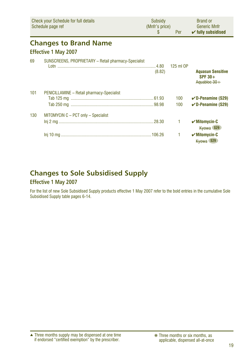|     | <b>Check your Schedule for full details</b><br>Schedule page ref | Subsidy<br>(Mnfr's price)<br>\$. | Per        | <b>Brand or</b><br><b>Generic Mnfr</b><br>$\checkmark$ fully subsidised |
|-----|------------------------------------------------------------------|----------------------------------|------------|-------------------------------------------------------------------------|
|     | <b>Changes to Brand Name</b><br><b>Effective 1 May 2007</b>      |                                  |            |                                                                         |
| 69  | SUNSCREENS, PROPRIETARY - Retail pharmacy-Specialist             | (8.82)                           | 125 ml OP  | <b>Aquasun Sensitive</b><br>$SPF 30+$<br>Aguabloc 30+                   |
| 101 | PENICILLAMINE - Retail pharmacy-Specialist                       |                                  | 100<br>100 | $\checkmark$ D-Penamine (S29)<br>$\checkmark$ D-Penamine (S29)          |
| 130 | MITOMYCIN C - PCT only - Specialist                              |                                  | 1          | $\mathcal V$ Mitomycin-C<br>Kyowa S29                                   |
|     |                                                                  |                                  | 1          | $\checkmark$ Mitomycin-C<br>Kyowa S29                                   |

### **Changes to Sole Subsidised Supply**

### **Effective 1 May 2007**

For the list of new Sole Subsidised Supply products effective 1 May 2007 refer to the bold entries in the cumulative Sole Subsidised Supply table pages 6-14.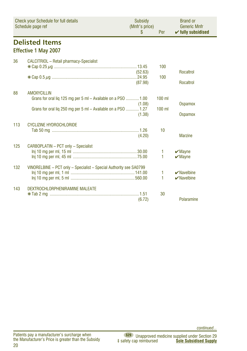|     | Check your Schedule for full details<br>Schedule page ref                                                                                            | Subsidy<br>(Mnfr's price)<br>\$ | Per                  | <b>Brand or</b><br><b>Generic Mnfr</b><br>$\checkmark$ fully subsidised |
|-----|------------------------------------------------------------------------------------------------------------------------------------------------------|---------------------------------|----------------------|-------------------------------------------------------------------------|
|     | <b>Delisted Items</b><br><b>Effective 1 May 2007</b>                                                                                                 |                                 |                      |                                                                         |
| 36  | CALCITRIOL - Retail pharmacy-Specialist                                                                                                              | (52.63)<br>(87.98)              | 100<br>100           | <b>Rocaltrol</b><br><b>Rocaltrol</b>                                    |
| 88  | <b>AMOXYCILLIN</b><br>Grans for oral liq 125 mg per 5 ml - Available on a PSO  1.00<br>Grans for oral liq 250 mg per 5 ml - Available on a PSO  1.27 | (1.08)<br>(1.38)                | $100$ ml<br>$100$ ml | <b>Ospamox</b><br><b>Ospamox</b>                                        |
| 113 | <b>CYCLIZINE HYDROCHLORIDE</b>                                                                                                                       | (4.20)                          | 10                   | <b>Marzine</b>                                                          |
| 125 | CARBOPLATIN - PCT only - Specialist                                                                                                                  |                                 | 1<br>1               | $\boldsymbol{\checkmark}$ Mayne<br>$\boldsymbol{\checkmark}$ Mayne      |
| 132 | VINORELBINE - PCT only - Specialist - Special Authority see SA0799                                                                                   |                                 | 1<br>1               | $\vee$ Navelbine<br>$\vee$ Navelbine                                    |
| 143 | DEXTROCHLORPHENIRAMINE MALEATE                                                                                                                       | (6.72)                          | 30                   | Polaramine                                                              |

*continued...*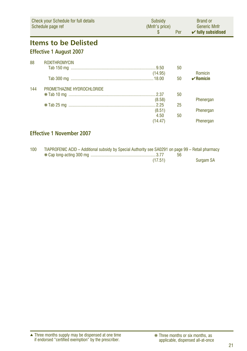|     | <b>Check your Schedule for full details</b><br>Schedule page ref | Subsidy<br>(Mnfr's price)<br>S | Per      | <b>Brand or</b><br><b>Generic Mnfr</b><br>$\checkmark$ fully subsidised |
|-----|------------------------------------------------------------------|--------------------------------|----------|-------------------------------------------------------------------------|
|     | <b>Items to be Delisted</b><br><b>Effective 1 August 2007</b>    |                                |          |                                                                         |
| 88  | <b>ROXITHROMYCIN</b>                                             | (14.95)                        | 50<br>50 | Romicin<br>$\mathbf{v}$ Romicin                                         |
| 144 | PROMETHAZINE HYDROCHLORIDE                                       | (8.58)<br>(8.51)               | 50<br>25 | Phenergan<br>Phenergan                                                  |
|     |                                                                  | 4.50<br>(14.47)                | 50       | Phenergan                                                               |

### **Effective 1 November 2007**

| 100 | TIAPROFENIC ACID – Additional subsidy by Special Authority see SA0291 on page 99 – Retail pharmacy |         |           |
|-----|----------------------------------------------------------------------------------------------------|---------|-----------|
|     |                                                                                                    |         |           |
|     |                                                                                                    | (17.51) | Surgam SA |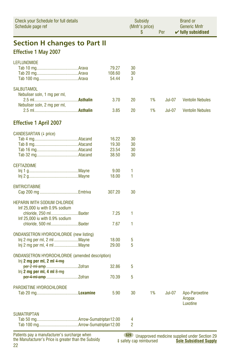| <b>Check your Schedule for full details</b><br>Schedule page ref |                 | Subsidy<br>(Mnfr's price)<br>\$ |    | Per           | <b>Brand or</b><br><b>Generic Mnfr</b><br>$\checkmark$ fully subsidised |
|------------------------------------------------------------------|-----------------|---------------------------------|----|---------------|-------------------------------------------------------------------------|
| <b>Section H changes to Part II</b>                              |                 |                                 |    |               |                                                                         |
| <b>Effective 1 May 2007</b>                                      |                 |                                 |    |               |                                                                         |
| <b>LEFLUNOMIDE</b>                                               |                 |                                 |    |               |                                                                         |
|                                                                  | 79.27           | 30                              |    |               |                                                                         |
|                                                                  | 108.60<br>54.44 | 30<br>3                         |    |               |                                                                         |
| <b>SALBUTAMOL</b>                                                |                 |                                 |    |               |                                                                         |
| Nebuliser soln, 1 mg per ml,                                     |                 |                                 |    |               |                                                                         |
|                                                                  | 3.70            | 20                              | 1% | <b>Jul-07</b> | <b>Ventolin Nebules</b>                                                 |
| Nebuliser soln, 2 mg per ml,                                     | 3.85            | 20                              | 1% | <b>Jul-07</b> | <b>Ventolin Nebules</b>                                                 |
| <b>Effective 1 April 2007</b>                                    |                 |                                 |    |               |                                                                         |
|                                                                  |                 |                                 |    |               |                                                                         |
| CANDESARTAN (+ price)                                            | 16.22           | 30                              |    |               |                                                                         |
|                                                                  | 19.30           | 30                              |    |               |                                                                         |
|                                                                  | 23.54           | 30                              |    |               |                                                                         |
|                                                                  | 38.50           | 30                              |    |               |                                                                         |
| <b>CEFTAZIDIME</b>                                               |                 |                                 |    |               |                                                                         |
|                                                                  | 9.00            | 1                               |    |               |                                                                         |
|                                                                  | 18.00           | 1                               |    |               |                                                                         |
| <b>EMTRICITABINE</b>                                             |                 |                                 |    |               |                                                                         |
|                                                                  | 307.20          | 30                              |    |               |                                                                         |
| <b>HEPARIN WITH SODIUM CHLORIDE</b>                              |                 |                                 |    |               |                                                                         |
| Inf 25,000 iu with 0.9% sodium                                   |                 |                                 |    |               |                                                                         |
| chloride, 250 ml Baxter                                          | 7.25            | 1                               |    |               |                                                                         |
| Inf 25,000 iu with 0.9% sodium<br>chloride, 500 ml Baxter        | 7.67            | 1                               |    |               |                                                                         |
|                                                                  |                 |                                 |    |               |                                                                         |
| <b>ONDANSETRON HYDROCHLORIDE (new listing)</b>                   |                 |                                 |    |               |                                                                         |
|                                                                  | 18.00<br>29.00  | 5<br>5                          |    |               |                                                                         |
|                                                                  |                 |                                 |    |               |                                                                         |
| <b>ONDANSETRON HYDROCHLORIDE (amended description)</b>           |                 |                                 |    |               |                                                                         |
| lnj 2 mg per ml, 2 ml $4 \,$ mg                                  | 32.86           | 5                               |    |               |                                                                         |
| Inj 2 mg per ml, 4 ml $8 \text{ mg}$                             |                 |                                 |    |               |                                                                         |
|                                                                  | 70.39           | 5                               |    |               |                                                                         |
| PAROXETINE HYDROCHLORIDE                                         |                 |                                 |    |               |                                                                         |
|                                                                  | 5.90            | 30                              | 1% | Jul-07        | Apo-Paroxetine                                                          |
|                                                                  |                 |                                 |    |               | Aropax<br>Luxotine                                                      |
| <b>SUMATRIPTAN</b>                                               |                 |                                 |    |               |                                                                         |
|                                                                  |                 | 4                               |    |               |                                                                         |
|                                                                  |                 | $\overline{2}$                  |    |               |                                                                         |
| Patients pay a manufacturer's surcharge when                     |                 |                                 |    |               | (\$29) Unannroyed medicine supplied under Section 29                    |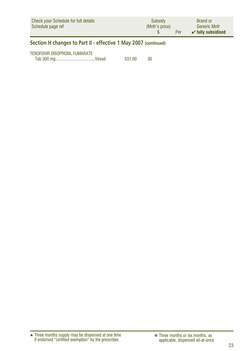| Check your Schedule for full details | Subsidy        | <b>Brand or</b>               |
|--------------------------------------|----------------|-------------------------------|
| Schedule page ref                    | (Mnfr's price) | <b>Generic Mnfr</b>           |
|                                      | Per            | $\checkmark$ fully subsidised |

### **Section H changes to Part II - effective 1 May 2007 (continued)**

| TENOFOVIR DISOPROXIL FUMARATE |        |    |
|-------------------------------|--------|----|
|                               | 531.00 | 30 |

Three months supply may be dispensed at one time if endorsed "certified exemption" by the prescriber. ▲ ❋ Three months or six months, as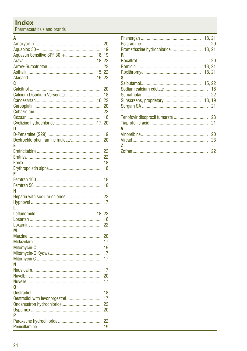### **Index**

Pharmaceuticals and brands

#### $\overline{\mathbf{A}}$

|                                   | 20              |
|-----------------------------------|-----------------|
|                                   | 19              |
| Aquasun Sensitive SPF 30 +        | 18, 19          |
|                                   | 18, 22          |
|                                   | 22              |
|                                   | 15, 22          |
|                                   | 16, 22          |
| c                                 |                 |
|                                   | 20              |
| Calcium Disodium Versenate        | 18              |
| 16.                               | 22              |
|                                   | 20              |
|                                   | 22              |
|                                   | 16              |
| Cyclizine hydrochloride<br>17, 20 |                 |
| n                                 |                 |
|                                   | 19              |
| Dextrochlorpheniramine maleate    | 20              |
| F                                 |                 |
|                                   | 22              |
|                                   |                 |
|                                   | $\overline{22}$ |
|                                   | 18              |
|                                   | 18              |
| F                                 |                 |
|                                   | 18              |
|                                   | 18              |
| н                                 |                 |
| Heparin with sodium chloride      | 22              |
|                                   | 17              |
| L                                 |                 |
|                                   |                 |
|                                   | 16              |
|                                   | 22              |
| M                                 |                 |
|                                   | 20              |
|                                   | 17              |
|                                   | 19              |
|                                   | 17              |
|                                   | 17              |
| Ν                                 |                 |
|                                   | 17              |
|                                   | 20              |
|                                   | 17              |
| O                                 |                 |
|                                   |                 |
|                                   | 18<br>17        |
|                                   |                 |
|                                   | 22              |
|                                   | 20              |
| P                                 |                 |
|                                   | 22              |
|                                   | 19              |

| Promethazine hydrochloride  18, 21 |     |
|------------------------------------|-----|
| R                                  |     |
|                                    |     |
|                                    |     |
|                                    |     |
| s                                  |     |
|                                    |     |
|                                    | -18 |
|                                    | 22  |
|                                    |     |
|                                    |     |
| т                                  |     |
| Tenofovir disoproxil fumarate      | 23  |
|                                    | 21  |
| V                                  |     |
|                                    | 20  |
|                                    | 23  |
| 7                                  |     |
|                                    |     |